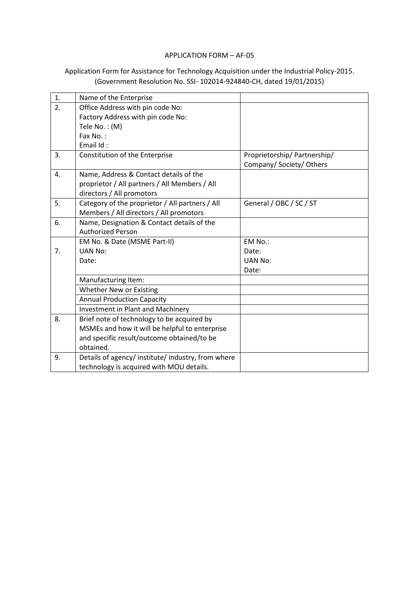## APPLICATION FORM – AF-05

## Application Form for Assistance for Technology Acquisition under the Industrial Policy-2015. (Government Resolution No. SSI- 102014-924840-CH, dated 19/01/2015)

| 1. | Name of the Enterprise                           |                             |
|----|--------------------------------------------------|-----------------------------|
| 2. | Office Address with pin code No:                 |                             |
|    | Factory Address with pin code No:                |                             |
|    | Tele No.: (M)                                    |                             |
|    | Fax No.:                                         |                             |
|    | Email Id:                                        |                             |
| 3. | Constitution of the Enterprise                   | Proprietorship/Partnership/ |
|    |                                                  | Company/Society/Others      |
| 4. | Name, Address & Contact details of the           |                             |
|    | proprietor / All partners / All Members / All    |                             |
|    | directors / All promotors                        |                             |
| 5. | Category of the proprietor / All partners / All  | General / OBC / SC / ST     |
|    | Members / All directors / All promotors          |                             |
| 6. | Name, Designation & Contact details of the       |                             |
|    | <b>Authorized Person</b>                         |                             |
|    | EM No. & Date (MSME Part-II)                     | EM No.:                     |
| 7. | UAN No:                                          | Date:                       |
|    | Date:                                            | <b>UAN No:</b>              |
|    |                                                  | Date:                       |
|    | Manufacturing Item:                              |                             |
|    | Whether New or Existing                          |                             |
|    | <b>Annual Production Capacity</b>                |                             |
|    | Investment in Plant and Machinery                |                             |
| 8. | Brief note of technology to be acquired by       |                             |
|    | MSMEs and how it will be helpful to enterprise   |                             |
|    | and specific result/outcome obtained/to be       |                             |
|    | obtained.                                        |                             |
| 9. | Details of agency/institute/industry, from where |                             |
|    | technology is acquired with MOU details.         |                             |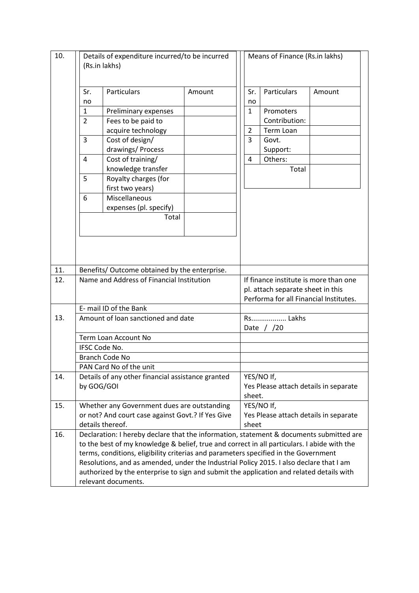| 10. | Details of expenditure incurred/to be incurred<br>(Rs.in lakhs)                                                                                                                        |                                               | Means of Finance (Rs.in lakhs) |                                        |                    |                                       |  |  |
|-----|----------------------------------------------------------------------------------------------------------------------------------------------------------------------------------------|-----------------------------------------------|--------------------------------|----------------------------------------|--------------------|---------------------------------------|--|--|
|     | Sr.                                                                                                                                                                                    | <b>Particulars</b>                            | Amount                         | Sr.                                    | <b>Particulars</b> | Amount                                |  |  |
|     | no                                                                                                                                                                                     |                                               |                                | no                                     |                    |                                       |  |  |
|     | 1                                                                                                                                                                                      | Preliminary expenses                          |                                | $\mathbf{1}$                           | Promoters          |                                       |  |  |
|     | $\overline{2}$                                                                                                                                                                         | Fees to be paid to                            |                                |                                        | Contribution:      |                                       |  |  |
|     |                                                                                                                                                                                        | acquire technology                            |                                | $\overline{2}$                         | <b>Term Loan</b>   |                                       |  |  |
|     | 3                                                                                                                                                                                      | Cost of design/                               |                                | $\overline{3}$                         | Govt.              |                                       |  |  |
|     |                                                                                                                                                                                        | drawings/ Process                             |                                |                                        | Support:           |                                       |  |  |
|     | $\overline{4}$                                                                                                                                                                         | Cost of training/                             |                                | 4                                      | Others:            |                                       |  |  |
|     |                                                                                                                                                                                        | knowledge transfer                            |                                |                                        | Total              |                                       |  |  |
|     | 5                                                                                                                                                                                      | Royalty charges (for                          |                                |                                        |                    |                                       |  |  |
|     |                                                                                                                                                                                        | first two years)                              |                                |                                        |                    |                                       |  |  |
|     | 6                                                                                                                                                                                      | Miscellaneous                                 |                                |                                        |                    |                                       |  |  |
|     |                                                                                                                                                                                        | expenses (pl. specify)                        |                                |                                        |                    |                                       |  |  |
|     |                                                                                                                                                                                        | Total                                         |                                |                                        |                    |                                       |  |  |
|     |                                                                                                                                                                                        |                                               |                                |                                        |                    |                                       |  |  |
|     |                                                                                                                                                                                        |                                               |                                |                                        |                    |                                       |  |  |
|     |                                                                                                                                                                                        |                                               |                                |                                        |                    |                                       |  |  |
|     |                                                                                                                                                                                        |                                               |                                |                                        |                    |                                       |  |  |
| 11. |                                                                                                                                                                                        | Benefits/ Outcome obtained by the enterprise. |                                |                                        |                    |                                       |  |  |
| 12. | Name and Address of Financial Institution                                                                                                                                              |                                               |                                | If finance institute is more than one  |                    |                                       |  |  |
|     |                                                                                                                                                                                        |                                               |                                | pl. attach separate sheet in this      |                    |                                       |  |  |
|     |                                                                                                                                                                                        |                                               |                                | Performa for all Financial Institutes. |                    |                                       |  |  |
|     | E- mail ID of the Bank                                                                                                                                                                 |                                               |                                |                                        |                    |                                       |  |  |
| 13. |                                                                                                                                                                                        | Amount of loan sanctioned and date            |                                | Rs Lakhs                               |                    |                                       |  |  |
|     |                                                                                                                                                                                        |                                               |                                | Date $/$ /20                           |                    |                                       |  |  |
|     |                                                                                                                                                                                        | Term Loan Account No                          |                                |                                        |                    |                                       |  |  |
|     | IFSC Code No.<br>Branch Code No                                                                                                                                                        |                                               |                                |                                        |                    |                                       |  |  |
|     |                                                                                                                                                                                        |                                               |                                |                                        |                    |                                       |  |  |
|     |                                                                                                                                                                                        | PAN Card No of the unit                       |                                |                                        |                    |                                       |  |  |
| 14. | Details of any other financial assistance granted                                                                                                                                      |                                               |                                |                                        | YES/NO If,         |                                       |  |  |
|     |                                                                                                                                                                                        | by GOG/GOI                                    |                                |                                        |                    | Yes Please attach details in separate |  |  |
|     |                                                                                                                                                                                        |                                               |                                | sheet.                                 |                    |                                       |  |  |
| 15. | Whether any Government dues are outstanding                                                                                                                                            |                                               | YES/NO If,                     |                                        |                    |                                       |  |  |
|     | or not? And court case against Govt.? If Yes Give                                                                                                                                      |                                               |                                | Yes Please attach details in separate  |                    |                                       |  |  |
|     |                                                                                                                                                                                        | details thereof.                              |                                | sheet                                  |                    |                                       |  |  |
| 16. | Declaration: I hereby declare that the information, statement & documents submitted are<br>to the best of my knowledge & belief, true and correct in all particulars. I abide with the |                                               |                                |                                        |                    |                                       |  |  |
|     |                                                                                                                                                                                        |                                               |                                |                                        |                    |                                       |  |  |
|     | terms, conditions, eligibility criterias and parameters specified in the Government                                                                                                    |                                               |                                |                                        |                    |                                       |  |  |
|     | Resolutions, and as amended, under the Industrial Policy 2015. I also declare that I am                                                                                                |                                               |                                |                                        |                    |                                       |  |  |
|     | authorized by the enterprise to sign and submit the application and related details with                                                                                               |                                               |                                |                                        |                    |                                       |  |  |
|     |                                                                                                                                                                                        | relevant documents.                           |                                |                                        |                    |                                       |  |  |